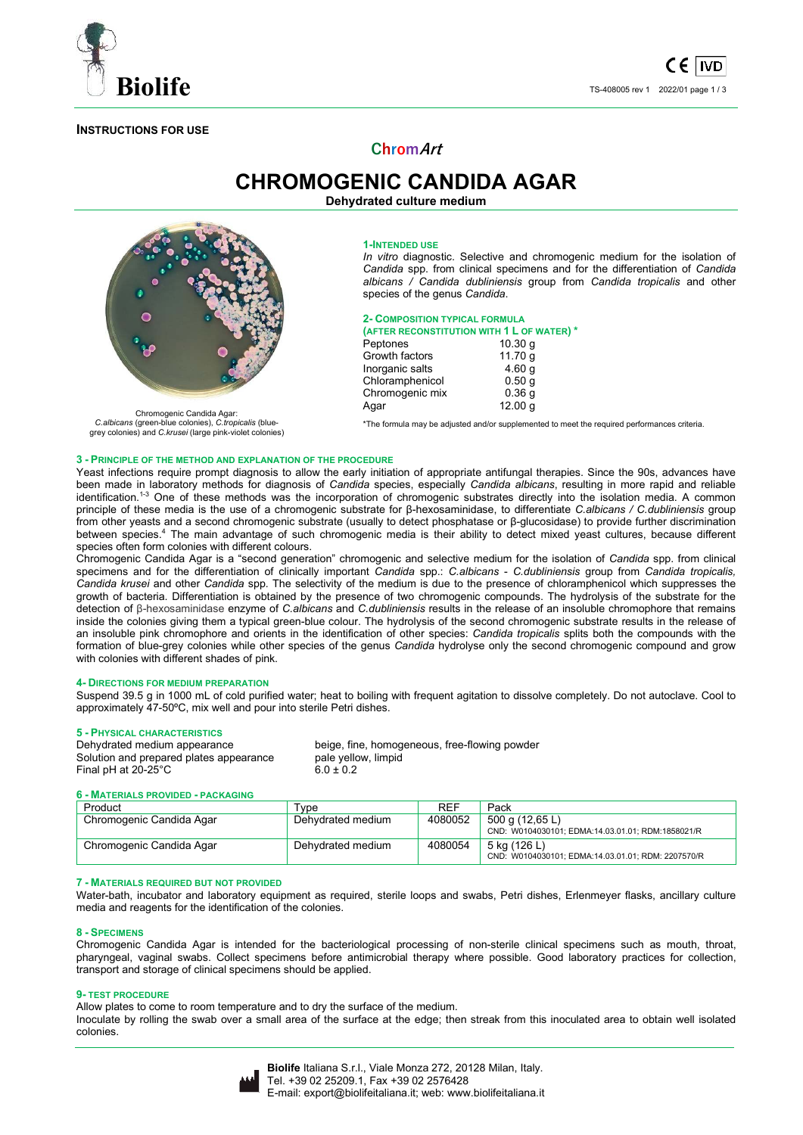

## **INSTRUCTIONS FOR USE**

# **ChromArt**

**CHROMOGENIC CANDIDA AGAR Dehydrated culture medium** 



Chromogenic Candida Agar: *C.albicans* (green-blue colonies), *C.tropicalis* (blue-grey colonies) and *C.krusei* (large pink-violet colonies)

# **1-INTENDED USE**

*In vitro* diagnostic. Selective and chromogenic medium for the isolation of *Candida* spp. from clinical specimens and for the differentiation of *Candida albicans / Candida dubliniensis* group from *Candida tropicalis* and other species of the genus *Candida*.

#### **2- COMPOSITION TYPICAL FORMULA**

Chromogenic mix 0.36 g<br>Agar 12.00 g

**(AFTER RECONSTITUTION WITH 1 L OF WATER) \***  Peptones 10.30 g<br>Growth factors 11.70 g Growth factors 11.70 g<br>Inorganic salts 4.60 g Inorganic salts 4.60 g<br>Chloramphenicol 6.50 g Chloramphenicol

\*The formula may be adjusted and/or supplemented to meet the required performances criteria.

 $12.00 g$ 

#### **3 - PRINCIPLE OF THE METHOD AND EXPLANATION OF THE PROCEDURE**

Yeast infections require prompt diagnosis to allow the early initiation of appropriate antifungal therapies. Since the 90s, advances have been made in laboratory methods for diagnosis of *Candida* species, especially *Candida albicans*, resulting in more rapid and reliable identification.<sup>1-3</sup> One of these methods was the incorporation of chromogenic substrates directly into the isolation media. A common principle of these media is the use of a chromogenic substrate for β-hexosaminidase, to differentiate *C.albicans / C.dubliniensis* group from other yeasts and a second chromogenic substrate (usually to detect phosphatase or β-glucosidase) to provide further discrimination between species.<sup>4</sup> The main advantage of such chromogenic media is their ability to detect mixed yeast cultures, because different species often form colonies with different colours.

Chromogenic Candida Agar is a "second generation" chromogenic and selective medium for the isolation of *Candida* spp. from clinical specimens and for the differentiation of clinically important *Candida* spp.: *C.albicans* - *C.dubliniensis* group from *Candida tropicalis, Candida krusei* and other *Candida* spp*.* The selectivity of the medium is due to the presence of chloramphenicol which suppresses the growth of bacteria. Differentiation is obtained by the presence of two chromogenic compounds. The hydrolysis of the substrate for the detection of β-hexosaminidase enzyme of *C.albicans* and *C.dubliniensis* results in the release of an insoluble chromophore that remains inside the colonies giving them a typical green-blue colour. The hydrolysis of the second chromogenic substrate results in the release of an insoluble pink chromophore and orients in the identification of other species: *Candida tropicalis* splits both the compounds with the formation of blue-grey colonies while other species of the genus *Candida* hydrolyse only the second chromogenic compound and grow with colonies with different shades of pink.

#### **4- DIRECTIONS FOR MEDIUM PREPARATION**

Suspend 39.5 g in 1000 mL of cold purified water; heat to boiling with frequent agitation to dissolve completely. Do not autoclave. Cool to approximately 47-50ºC, mix well and pour into sterile Petri dishes.

# **5 - PHYSICAL CHARACTERISTICS**

Solution and prepared plates appearance Final pH at  $20-25^{\circ}$ C 6.0  $\pm$  0.2

beige, fine, homogeneous, free-flowing powder<br>pale yellow, limpid

#### **6 - MATERIALS PROVIDED - PACKAGING**

| Product                  | Type              | <b>RFF</b> | Pack                                                                 |
|--------------------------|-------------------|------------|----------------------------------------------------------------------|
| Chromogenic Candida Agar | Dehydrated medium | 4080052    | 500 g (12,65 L)<br>CND: W0104030101; EDMA:14.03.01.01; RDM:1858021/R |
| Chromogenic Candida Agar | Dehydrated medium | 4080054    | 5 kg (126 L)<br>CND: W0104030101; EDMA:14.03.01.01; RDM: 2207570/R   |

#### **7 - MATERIALS REQUIRED BUT NOT PROVIDED**

Water-bath, incubator and laboratory equipment as required, sterile loops and swabs, Petri dishes, Erlenmeyer flasks, ancillary culture media and reagents for the identification of the colonies.

#### **8 - SPECIMENS**

Chromogenic Candida Agar is intended for the bacteriological processing of non-sterile clinical specimens such as mouth, throat, pharyngeal, vaginal swabs. Collect specimens before antimicrobial therapy where possible. Good laboratory practices for collection, transport and storage of clinical specimens should be applied.

#### **9- TEST PROCEDURE**

Allow plates to come to room temperature and to dry the surface of the medium.

Inoculate by rolling the swab over a small area of the surface at the edge; then streak from this inoculated area to obtain well isolated colonies.

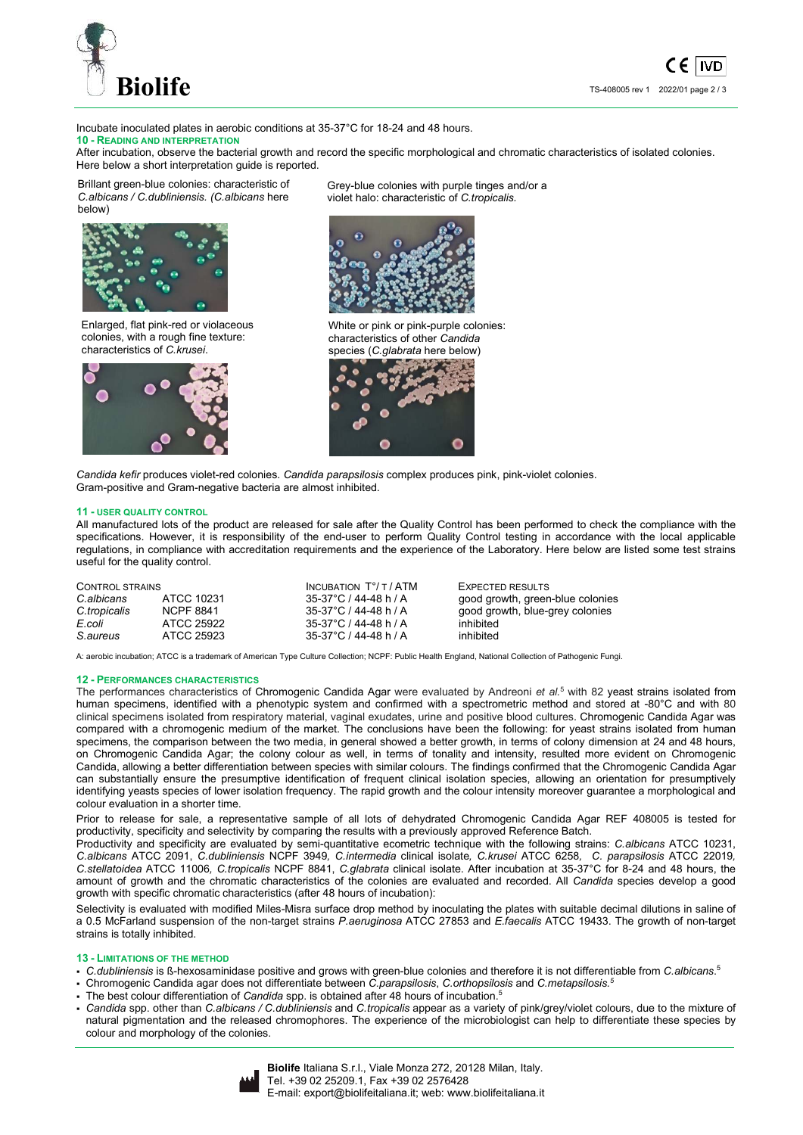

Incubate inoculated plates in aerobic conditions at 35-37°C for 18-24 and 48 hours. **10 - READING AND INTERPRETATION**

After incubation, observe the bacterial growth and record the specific morphological and chromatic characteristics of isolated colonies. Here below a short interpretation guide is reported.

Brillant green-blue colonies: characteristic of *C.albicans / C.dubliniensis. (C.albicans* here below)



Enlarged, flat pink-red or violaceous colonies, with a rough fine texture: characteristics of *C.krusei*.



Grey-blue colonies with purple tinges and/or a violet halo: characteristic of *C.tropicalis.*



White or pink or pink-purple colonies: characteristics of other *Candida* species (*C.glabrata* here below)



*Candida kefir* produces violet-red colonies. *Candida parapsilosis* complex produces pink, pink-violet colonies. Gram-positive and Gram-negative bacteria are almost inhibited.

#### **11 - USER QUALITY CONTROL**

All manufactured lots of the product are released for sale after the Quality Control has been performed to check the compliance with the specifications. However, it is responsibility of the end-user to perform Quality Control testing in accordance with the local applicable regulations, in compliance with accreditation requirements and the experience of the Laboratory. Here below are listed some test strains useful for the quality control.

| <b>CONTROL STRAINS</b> |                  | INCUBATION $T^{\circ}/T$ / ATM | <b>EXPECTED RESULTS</b>          |
|------------------------|------------------|--------------------------------|----------------------------------|
| C.albicans             | ATCC 10231       | 35-37°C / 44-48 h / A          | good growth, green-blue colonies |
| C.tropicalis           | <b>NCPF 8841</b> | 35-37°C / 44-48 h / A          | good growth, blue-grey colonies  |
| E.coli                 | ATCC 25922       | 35-37°C / 44-48 h / A          | inhibited                        |
| S.aureus               | ATCC 25923       | 35-37°C / 44-48 h / A          | inhibited                        |

A: aerobic incubation; ATCC is a trademark of American Type Culture Collection; NCPF: Public Health England, National Collection of Pathogenic Fungi.

#### **12 - PERFORMANCES CHARACTERISTICS**

The performances characteristics of Chromogenic Candida Agar were evaluated by Andreoni *et al.*<sup>5</sup> with 82 yeast strains isolated from human specimens, identified with a phenotypic system and confirmed with a spectrometric method and stored at -80°C and with 80 clinical specimens isolated from respiratory material, vaginal exudates, urine and positive blood cultures. Chromogenic Candida Agar was compared with a chromogenic medium of the market. The conclusions have been the following: for yeast strains isolated from human specimens, the comparison between the two media, in general showed a better growth, in terms of colony dimension at 24 and 48 hours, on Chromogenic Candida Agar; the colony colour as well, in terms of tonality and intensity, resulted more evident on Chromogenic Candida, allowing a better differentiation between species with similar colours. The findings confirmed that the Chromogenic Candida Agar can substantially ensure the presumptive identification of frequent clinical isolation species, allowing an orientation for presumptively identifying yeasts species of lower isolation frequency. The rapid growth and the colour intensity moreover guarantee a morphological and colour evaluation in a shorter time.

Prior to release for sale, a representative sample of all lots of dehydrated Chromogenic Candida Agar REF 408005 is tested for productivity, specificity and selectivity by comparing the results with a previously approved Reference Batch.

Productivity and specificity are evaluated by semi-quantitative ecometric technique with the following strains: *C.albicans* ATCC 10231, *C.albicans* ATCC 2091, *C.dubliniensis* NCPF 3949*, C.intermedia* clinical isolate*, C.krusei* ATCC 6258*, C. parapsilosis* ATCC 22019*, C.stellatoidea* ATCC 11006*, C.tropicalis* NCPF 8841, *C.glabrata* clinical isolate. After incubation at 35-37°C for 8-24 and 48 hours, the amount of growth and the chromatic characteristics of the colonies are evaluated and recorded. All *Candida* species develop a good growth with specific chromatic characteristics (after 48 hours of incubation):

Selectivity is evaluated with modified Miles-Misra surface drop method by inoculating the plates with suitable decimal dilutions in saline of a 0.5 McFarland suspension of the non-target strains *P.aeruginosa* ATCC 27853 and *E.faecalis* ATCC 19433. The growth of non-target strains is totally inhibited.

#### **13 - LIMITATIONS OF THE METHOD**

- *C.dubliniensis* is ß-hexosaminidase positive and grows with green-blue colonies and therefore it is not differentiable from *C.albicans*. 5
- Chromogenic Candida agar does not differentiate between *C.parapsilosis*, *C.orthopsilosis* and *C.metapsilosis.<sup>5</sup>*
- The best colour differentiation of *Candida* spp. is obtained after 48 hours of incubation.<sup>5</sup>
- *Candida* spp. other than *C.albicans / C.dubliniensis* and *C.tropicalis* appear as a variety of pink/grey/violet colours, due to the mixture of natural pigmentation and the released chromophores. The experience of the microbiologist can help to differentiate these species by colour and morphology of the colonies.